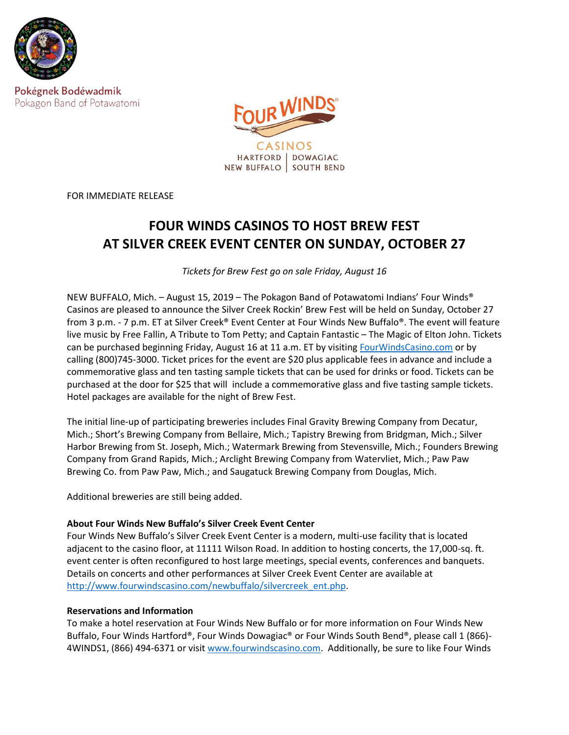

Pokégnek Bodéwadmik Pokagon Band of Potawatomi



FOR IMMEDIATE RELEASE

## **FOUR WINDS CASINOS TO HOST BREW FEST AT SILVER CREEK EVENT CENTER ON SUNDAY, OCTOBER 27**

*Tickets for Brew Fest go on sale Friday, August 16*

NEW BUFFALO, Mich. – August 15, 2019 – The Pokagon Band of Potawatomi Indians' Four Winds® Casinos are pleased to announce the Silver Creek Rockin' Brew Fest will be held on Sunday, October 27 from 3 p.m. - 7 p.m. ET at Silver Creek® Event Center at Four Winds New Buffalo®. The event will feature live music by Free Fallin, A Tribute to Tom Petty; and Captain Fantastic – The Magic of Elton John. Tickets can be purchased beginning Friday, August 16 at 11 a.m. ET by visiting [FourWindsCasino.com](https://www.fourwindscasino.com/newbuffalo/entertainment/event-center/) or by calling (800)745-3000. Ticket prices for the event are \$20 plus applicable fees in advance and include a commemorative glass and ten tasting sample tickets that can be used for drinks or food. Tickets can be purchased at the door for \$25 that will include a commemorative glass and five tasting sample tickets. Hotel packages are available for the night of Brew Fest.

The initial line-up of participating breweries includes Final Gravity Brewing Company from Decatur, Mich.; Short's Brewing Company from Bellaire, Mich.; Tapistry Brewing from Bridgman, Mich.; Silver Harbor Brewing from St. Joseph, Mich.; Watermark Brewing from Stevensville, Mich.; Founders Brewing Company from Grand Rapids, Mich.; Arclight Brewing Company from Watervliet, Mich.; Paw Paw Brewing Co. from Paw Paw, Mich.; and Saugatuck Brewing Company from Douglas, Mich.

Additional breweries are still being added.

## **About Four Winds New Buffalo's Silver Creek Event Center**

Four Winds New Buffalo's Silver Creek Event Center is a modern, multi-use facility that is located adjacent to the casino floor, at 11111 Wilson Road. In addition to hosting concerts, the 17,000-sq. ft. event center is often reconfigured to host large meetings, special events, conferences and banquets. Details on concerts and other performances at Silver Creek Event Center are available at [http://www.fourwindscasino.com/newbuffalo/silvercreek\\_ent.php.](http://www.fourwindscasino.com/newbuffalo/silvercreek_ent.php)

## **Reservations and Information**

To make a hotel reservation at Four Winds New Buffalo or for more information on Four Winds New Buffalo, Four Winds Hartford®, Four Winds Dowagiac® or Four Winds South Bend®, please call 1 (866)- 4WINDS1, (866) 494-6371 or visit [www.fourwindscasino.com.](http://www.fourwindscasino.com/) Additionally, be sure to like Four Winds